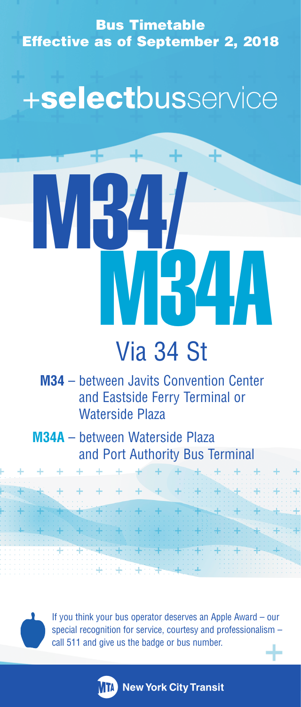Bus Timetable Effective as of September 2, 2018

+selectbusservice

# M34/ M34A

# Via 34 St

**M34** – between Javits Convention Center and Eastside Ferry Terminal or Waterside Plaza

**M34A** – between Waterside Plaza and Port Authority Bus Terminal

÷

 $+ + +$ 

¥

If you think your bus operator deserves an Apple Award – our special recognition for service, courtesy and professionalism – call 511 and give us the badge or bus number.

**MTA** New York City Transit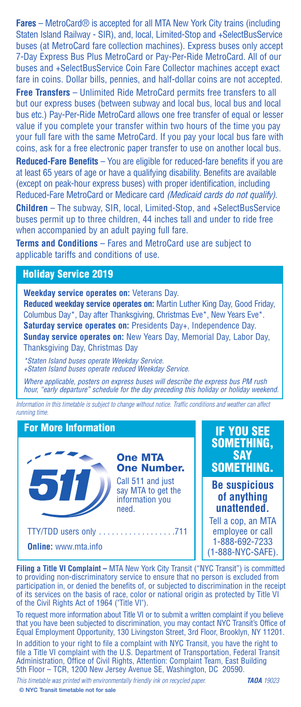**Fares** – MetroCard® is accepted for all MTA New York City trains (including Staten Island Railway - SIR), and, local, Limited-Stop and +SelectBusService buses (at MetroCard fare collection machines). Express buses only accept 7-Day Express Bus Plus MetroCard or Pay-Per-Ride MetroCard. All of our buses and +SelectBusService Coin Fare Collector machines accept exact fare in coins. Dollar bills, pennies, and half-dollar coins are not accepted.

**Free Transfers** – Unlimited Ride MetroCard permits free transfers to all but our express buses (between subway and local bus, local bus and local bus etc.) Pay-Per-Ride MetroCard allows one free transfer of equal or lesser value if you complete your transfer within two hours of the time you pay your full fare with the same MetroCard. If you pay your local bus fare with coins, ask for a free electronic paper transfer to use on another local bus. **Reduced-Fare Benefits** – You are eligible for reduced-fare benefits if you are at least 65 years of age or have a qualifying disability. Benefits are available (except on peak-hour express buses) with proper identification, including Reduced-Fare MetroCard or Medicare card *(Medicaid cards do not qualify)*. **Children** – The subway, SIR, local, Limited-Stop, and +SelectBusService buses permit up to three children, 44 inches tall and under to ride free when accompanied by an adult paying full fare.

**Terms and Conditions** – Fares and MetroCard use are subject to applicable tariffs and conditions of use.

### **Holiday Service 2019**

**Weekday service operates on:** Veterans Day.

**Reduced weekday service operates on:** Martin Luther King Day, Good Friday, Columbus Day\*, Day after Thanksgiving, Christmas Eve\*, New Years Eve\*. **Saturday service operates on:** Presidents Day+, Independence Day. **Sunday service operates on:** New Years Day, Memorial Day, Labor Day, Thanksgiving Day, Christmas Day

\*Staten Island buses operate Weekday Service. +Staten Island buses operate reduced Weekday Service.

Where applicable, posters on express buses will describe the express bus PM rush hour, "early departure" schedule for the day preceding this holiday or holiday weekend.

*Information in this timetable is subject to change without notice. Traffic conditions and weather can affect running time.* 

### **For More Information**



**One MTA One Number.**

Call 511 and just say MTA to get the information you need.

**Online:** www.mta.info

### **IF YOU SEE SOMETHING, SAY SOMETHING.**

**Be suspicious of anything unattended.**

Tell a cop, an MTA employee or call 1-888-692-7233 (1-888-NYC-SAFE).

**Filing a Title VI Complaint –** MTA New York City Transit ("NYC Transit") is committed to providing non-discriminatory service to ensure that no person is excluded from participation in, or denied the benefits of, or subjected to discrimination in the receipt of its services on the basis of race, color or national origin as protected by Title VI of the Civil Rights Act of 1964 ("Title VI").

To request more information about Title VI or to submit a written complaint if you believe that you have been subjected to discrimination, you may contact NYC Transit's Office of Equal Employment Opportunity, 130 Livingston Street, 3rd Floor, Brooklyn, NY 11201.

In addition to your right to file a complaint with NYC Transit, you have the right to file a Title VI complaint with the U.S. Department of Transportation, Federal Transit Administration, Office of Civil Rights, Attention: Complaint Team, East Building 5th Floor – TCR, 1200 New Jersey Avenue SE, Washington, DC 20590.

**— Page 9 —** *This timetable was printed with environmentally friendly ink on recycled paper.* **TAOA** *19023*

**© NYC Transit timetable not for sale**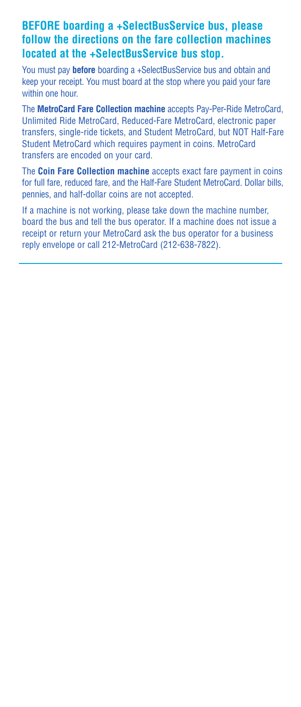## **BEFORE boarding a +SelectBusService bus, please follow the directions on the fare collection machines located at the +SelectBusService bus stop.**

You must pay **before** boarding a +SelectBusService bus and obtain and keep your receipt. You must board at the stop where you paid your fare within one hour.

The **MetroCard Fare Collection machine** accepts Pay-Per-Ride MetroCard, Unlimited Ride MetroCard, Reduced-Fare MetroCard, electronic paper transfers, single-ride tickets, and Student MetroCard, but NOT Half-Fare Student MetroCard which requires payment in coins. MetroCard transfers are encoded on your card.

The **Coin Fare Collection machine** accepts exact fare payment in coins for full fare, reduced fare, and the Half-Fare Student MetroCard. Dollar bills, pennies, and half-dollar coins are not accepted.

If a machine is not working, please take down the machine number, board the bus and tell the bus operator. If a machine does not issue a receipt or return your MetroCard ask the bus operator for a business reply envelope or call 212-MetroCard (212-638-7822).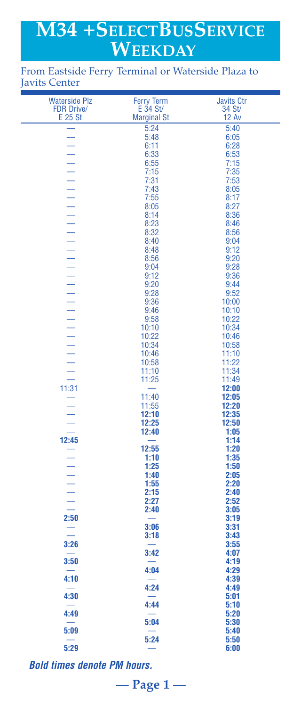# **M34 +SELECTBUSSERVICE WEEKDAY**

### From Eastside Ferry Terminal or Waterside Plaza to Javits Center

| <b>Waterside Plz</b>                      | <b>Ferry Term</b>  | <b>Javits Ctr</b> |
|-------------------------------------------|--------------------|-------------------|
| <b>FDR Drive/</b>                         | $E$ 34 St/         | 34 St/            |
| E 25 St                                   | <b>Marginal St</b> | <b>12 Av</b>      |
|                                           | 5:24               | 5:40              |
|                                           | 5:48               | 6:05              |
|                                           | 6:11               | 6:28              |
|                                           | 6:33               | 6:53<br>7:15      |
|                                           | 6:55<br>7:15       | 7:35              |
|                                           | 7:31               | 7:53              |
|                                           | 7:43               | 8:05              |
|                                           | 7:55               | 8:17              |
|                                           | 8:05               | 8:27              |
|                                           | 8:14<br>8:23       | 8:36<br>8:46      |
|                                           | 8:32               | 8:56              |
|                                           | 8:40               | 9:04              |
|                                           | 8:48               | 9:12              |
|                                           | 8:56               | 9:20              |
|                                           | 9:04               | 9:28              |
|                                           | 9:12               | 9:36              |
|                                           | 9:20<br>9:28       | 9:44<br>9:52      |
|                                           | 9:36               | 10:00             |
|                                           | 9:46               | 10:10             |
|                                           | 9:58               | 10:22             |
|                                           | 10:10              | 10:34             |
|                                           | 10:22              | 10:46             |
|                                           | 10:34<br>10:46     | 10:58<br>11:10    |
|                                           | 10:58              | 11:22             |
|                                           | 11:10              | 11:34             |
|                                           | 11:25              | 11:49             |
|                                           |                    | 12:00             |
|                                           | 11:40              | 12:05             |
|                                           | 11:55<br>12:10     | 12:20<br>12:35    |
|                                           | 12:25              | 12:50             |
|                                           | 12:40              | 1:05              |
| $-$ 12:45<br>$-$ 1 - 1 - 1 - 1 - 1 - 2:50 |                    | 1:14              |
|                                           | 12:55              | 1:20              |
|                                           | 1:10               | 1:35              |
|                                           | 1:25<br>1:40       | 1:50<br>2:05      |
|                                           | 1:55               | 2:20              |
|                                           | 2:15               | 2:40              |
|                                           | 2:27               | 2:52              |
|                                           | 2:40               | 3:05              |
|                                           |                    | 3:19              |
|                                           | 3:06<br>3:18       | 3:31<br>3:43      |
| 3:26                                      |                    | 3:55              |
|                                           | 3:42               | 4:07              |
| 3:50                                      |                    | 4:19              |
|                                           | 4:04               | 4:29              |
| 4:10                                      |                    | 4:39              |
|                                           | 4:24               | 4:49              |
| 4:30                                      | 4:44               | 5:01<br>5:10      |
| 4:49                                      |                    | 5:20              |
|                                           | 5:04               | 5:30              |
| 5:09                                      |                    | 5:40              |
|                                           | 5:24               | 5:50              |
| 5:29                                      |                    | 6:00              |

**— Page 1 —**

*Bold times denote PM hours.*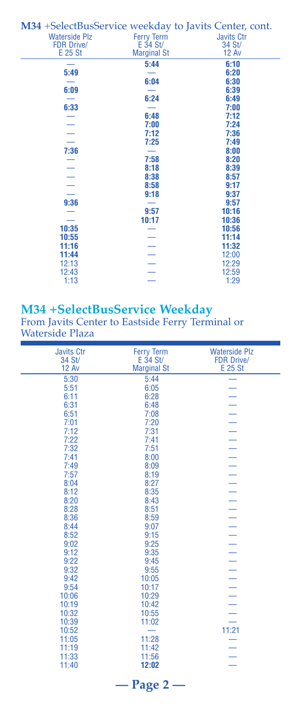| M34 + Select Bus Service weekday to Javits Center, cont. |                    |                   |
|----------------------------------------------------------|--------------------|-------------------|
| <b>Waterside Plz</b>                                     | <b>Ferry Term</b>  | <b>Javits Ctr</b> |
| <b>FDR Drive/</b>                                        | E 34 St/           | 34 St/            |
| E 25 St                                                  | <b>Marginal St</b> | <b>12 Av</b>      |
|                                                          | 5:44               | 6:10              |
| 5:49                                                     |                    | 6:20              |
|                                                          | 6:04               | 6:30              |
| 6:09                                                     |                    | 6:39              |
|                                                          | 6:24               | 6:49              |
| 6:33                                                     |                    | 7:00              |
|                                                          | 6:48               | 7:12              |
|                                                          | 7:00               | 7:24              |
|                                                          | 7:12               | 7:36              |
|                                                          | 7:25               | 7:49              |
| 7:36                                                     |                    | 8:00              |
|                                                          | 7:58               | 8:20              |
|                                                          | 8:18               | 8:39              |
| $\equiv$                                                 | 8:38               | 8:57              |
|                                                          | 8:58               | 9:17              |
|                                                          | 9:18               | 9:37              |
| 9:36                                                     |                    | 9:57              |
|                                                          | 9:57               | 10:16             |
|                                                          | 10:17              | 10:36             |
| 10:35                                                    |                    | 10:56             |
| 10:55                                                    |                    | 11:14             |
| 11:16                                                    |                    | 11:32             |
| 11:44                                                    |                    | 12:00             |
| 12:13                                                    |                    | 12:29             |
| 12:43                                                    |                    | 12:59             |
| 1:13                                                     |                    | 1:29              |

# **M34 +SelectBusService Weekday**

From Javits Center to Eastside Ferry Terminal or Waterside Plaza

| <b>Javits Ctr</b><br>34 St/<br><b>12 Av</b> | <b>Ferry Term</b><br>$E$ 34 St/<br><b>Marginal St</b> | <b>Waterside Plz</b><br><b>FDR Drive/</b><br>E 25 St |  |
|---------------------------------------------|-------------------------------------------------------|------------------------------------------------------|--|
| 5:30                                        | 5:44                                                  |                                                      |  |
| 5:51                                        | 6:05                                                  |                                                      |  |
| 6:11                                        | 6:28                                                  |                                                      |  |
| 6:31                                        | 6:48                                                  |                                                      |  |
| 6:51                                        | 7:08                                                  |                                                      |  |
| 7:01                                        | 7:20                                                  |                                                      |  |
| 7:12                                        | 7:31                                                  | $\frac{1}{2}$                                        |  |
| 7:22                                        | 7:41                                                  |                                                      |  |
| 7:32                                        | 7:51                                                  | $\overline{a}$                                       |  |
| 7:41                                        | 8:00                                                  | $\equiv$                                             |  |
| 7:49                                        | 8:09                                                  |                                                      |  |
| 7:57                                        | 8:19                                                  | $\overline{a}$                                       |  |
| 8:04                                        | 8:27                                                  | $\equiv$                                             |  |
| 8:12                                        | 8:35                                                  |                                                      |  |
| 8:20                                        | 8:43                                                  | $\overline{\phantom{0}}$                             |  |
| 8:28                                        | 8:51                                                  | $\overline{\phantom{0}}$                             |  |
| 8:36                                        | 8:59                                                  | ÷,                                                   |  |
| 8:44                                        | 9:07                                                  | $\overline{\phantom{0}}$                             |  |
| 8:52                                        | 9:15                                                  | $\frac{1}{1}$                                        |  |
| 9:02                                        | 9:25                                                  |                                                      |  |
| 9:12                                        | 9:35                                                  |                                                      |  |
| 9:22                                        | 9:45                                                  | $\overline{a}$                                       |  |
| 9:32                                        | 9:55                                                  | ÷,                                                   |  |
| 9:42                                        | 10:05                                                 | Ļ,                                                   |  |
| 9:54                                        | 10:17                                                 | $\overline{\phantom{0}}$                             |  |
| 10:06                                       | 10:29                                                 | $\overline{a}$                                       |  |
| 10:19                                       | 10:42                                                 | $\equiv$                                             |  |
| 10:32                                       | 10:55                                                 | $\overline{\phantom{0}}$                             |  |
| 10:39                                       | 11:02                                                 |                                                      |  |
| 10:52                                       | $\equiv$                                              | 11:21                                                |  |
| 11:05                                       | 11:28                                                 |                                                      |  |
| 11:19                                       | 11:42                                                 |                                                      |  |
| 11:33                                       | 11:56                                                 |                                                      |  |
| 11:40                                       | 12:02                                                 |                                                      |  |
| — Page 2 -                                  |                                                       |                                                      |  |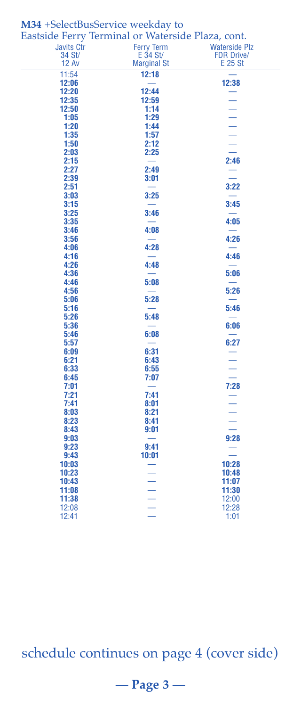|                   | Eastside Ferry Terminal or Waterside Plaza, cont. |                          |
|-------------------|---------------------------------------------------|--------------------------|
| <b>Javits Ctr</b> | <b>Ferry Term</b>                                 | <b>Waterside Plz</b>     |
| 34 St/            | E 34 St/                                          | <b>FDR Drive/</b>        |
| <b>12 Av</b>      | <b>Marginal St</b>                                | E 25 St                  |
| 11:54             | 12:18                                             |                          |
| 12:06             |                                                   | 12:38                    |
| 12:20             | 12:44                                             |                          |
| 12:35             | 12:59                                             |                          |
| 12:50             | 1:14                                              |                          |
| 1:05              | 1:29                                              |                          |
| 1:20              | 1:44                                              |                          |
| 1:35              | 1:57                                              | $\frac{1}{1}$            |
| 1:50              | 2:12                                              |                          |
| 2:03              | 2:25                                              |                          |
| 2:15              |                                                   | 2:46                     |
| 2:27<br>2:39      | 2:49                                              | $\equiv$                 |
| 2:51              | 3:01                                              | 3:22                     |
| 3:03              | 3:25                                              |                          |
| 3:15              |                                                   | 3:45                     |
| 3:25              | 3:46                                              |                          |
| 3:35              |                                                   | 4:05                     |
| 3:46              | 4:08                                              |                          |
| 3:56              |                                                   | 4:26                     |
| 4:06              | 4:28                                              |                          |
| 4:16              |                                                   | 4:46                     |
| 4:26              | 4:48                                              |                          |
| 4:36              |                                                   | 5:06                     |
| 4:46              | 5:08                                              |                          |
| 4:56              |                                                   | 5:26                     |
| 5:06              | 5:28                                              |                          |
| 5:16              |                                                   | 5:46                     |
| 5:26              | 5:48                                              |                          |
| 5:36              |                                                   | 6:06                     |
| 5:46              | 6:08                                              |                          |
| 5:57              |                                                   | 6:27                     |
| 6:09              | 6:31                                              |                          |
| 6:21              | 6:43                                              |                          |
| 6:33              | 6:55                                              | Ξ                        |
| 6:45              | 7:07                                              |                          |
| 7:01<br>7:21      | $\overline{\phantom{0}}$<br>7:41                  | 7:28                     |
| 7:41              | 8:01                                              |                          |
| 8:03              | 8:21                                              | $\overline{\phantom{a}}$ |
| 8:23              | 8:41                                              | Ξ                        |
| 8:43              | 9:01                                              |                          |
| 9:03              | $\overline{\phantom{0}}$                          | 9:28                     |
| 9:23              | 9:41                                              |                          |
| 9:43              | 10:01                                             |                          |
| 10:03             |                                                   | 10:28                    |
| 10:23             | $\equiv$                                          | 10:48                    |
| 10:43             |                                                   | 11:07                    |
| 11:08             | $\frac{1}{1}$                                     | 11:30                    |
| 11:38             |                                                   | 12:00                    |
| 12:08             |                                                   | 12:28                    |
| 12:41             |                                                   | 1:01                     |

# **M34** +SelectBusService weekday to

schedule continues on page 4 (cover side)

# **— Page 3 —**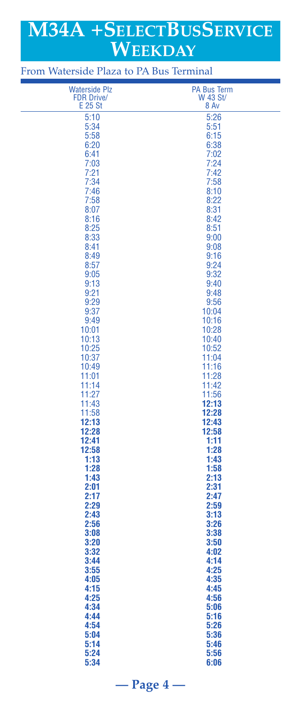# **M34A +SELECTBUSSERVICE WEEKDAY**

| <b>Waterside Plz</b> | <b>PA Bus Term</b> |
|----------------------|--------------------|
| <b>FDR Drive/</b>    | W 43 St/           |
| E 25 St              | 8 Av               |
|                      |                    |
| 5:10                 | 5:26               |
| 5:34                 | 5:51               |
| 5:58                 | 6:15               |
|                      |                    |
| 6:20                 | 6:38               |
| 6:41                 | 7:02               |
| 7:03                 | 7:24               |
| 7:21                 | 7:42               |
|                      |                    |
| 7:34                 | 7:58               |
| 7:46                 | 8:10               |
| 7:58                 | 8:22               |
| 8:07                 | 8:31               |
|                      | 8:42               |
| 8:16                 |                    |
| 8:25                 | 8:51               |
| 8:33                 | 9:00               |
| 8:41                 | 9:08               |
|                      |                    |
| 8:49                 | 9:16               |
| 8:57                 | 9:24               |
| 9:05                 | 9:32               |
| 9:13                 | 9:40               |
| 9:21                 | 9:48               |
|                      |                    |
| 9:29                 | 9:56               |
| 9:37                 | 10:04              |
| 9:49                 | 10:16              |
| 10:01                | 10:28              |
|                      |                    |
| 10:13                | 10:40              |
| 10:25                | 10:52              |
| 10:37                | 11:04              |
| 10:49                | 11:16              |
|                      |                    |
| 11:01                | 11:28              |
| 11:14                | 11:42              |
| 11:27                | 11:56              |
| 11:43                | 12:13              |
| 11:58                | 12:28              |
|                      |                    |
| 12:13                | 12:43              |
| 12:28                | 12:58              |
| 12:41                | 1:11               |
| 12:58                | 1:28               |
| 1:13                 | 1:43               |
|                      |                    |
| 1:28                 | 1:58               |
| 1:43                 | 2:13               |
| 2:01                 | 2:31               |
| 2:17                 | 2:47               |
| 2:29                 | 2:59               |
|                      |                    |
| 2:43                 | 3:13               |
| 2:56                 | 3:26               |
| 3:08                 | 3:38               |
| 3:20                 | 3:50               |
|                      |                    |
| 3:32                 | 4:02               |
| 3:44                 | 4:14               |
| 3:55                 | 4:25               |
| 4:05                 | 4:35               |
|                      |                    |
| 4:15                 | 4:45               |
| 4:25                 | 4:56               |
| 4:34                 | 5:06               |
| 4:44                 | 5:16               |
|                      |                    |
| 4:54                 | 5:26               |
| 5:04                 | 5:36               |
| 5:14                 | 5:46               |
| 5:24                 | 5:56               |
| 5:34                 | 6:06               |
|                      |                    |

**— Page 4 —**

From Waterside Plaza to PA Bus Terminal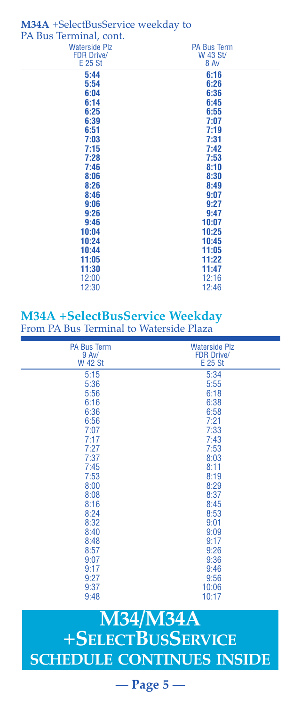| M34A +SelectBusService weekday to |                    |  |
|-----------------------------------|--------------------|--|
| PA Bus Terminal, cont.            |                    |  |
| <b>Waterside Plz</b>              | <b>PA Bus Term</b> |  |
| <b>FDR Drive/</b>                 | W 43 St/           |  |
| <b>E 25 St</b>                    | 8 Av               |  |
| 5:44                              | 6:16               |  |
| 5:54                              | 6:26               |  |
| 6:04                              | 6:36               |  |
| 6:14                              | 6:45               |  |
| 6:25                              | 6:55               |  |
| 6:39                              | 7:07               |  |
| 6:51                              | 7:19               |  |
| 7:03                              | 7:31               |  |
| 7:15                              | 7:42               |  |
| 7:28                              | 7:53               |  |
| 7:46                              | 8:10               |  |
| 8:06                              | 8:30               |  |
| 8:26                              | 8:49               |  |
| 8:46                              | 9:07               |  |
| 9:06                              | 9:27               |  |
| 9:26                              | 9:47               |  |
| 9:46                              | 10:07              |  |
| 10:04                             | 10:25              |  |
| 10:24                             | 10:45              |  |
| 10:44                             | 11:05              |  |
| 11:05                             | 11:22              |  |
| 11:30                             | 11:47              |  |
| 12:00                             | 12:16              |  |
| 12:30                             | 12:46              |  |

### **M34A +SelectBusService Weekday** From PA Bus Terminal to Waterside Plaza

| <b>PA Bus Term</b><br>$9$ Av/ | <b>Waterside Plz</b><br><b>FDR Drive/</b> |
|-------------------------------|-------------------------------------------|
| <b>W 42 St</b>                | E 25 St                                   |
| 5:15                          | 5:34                                      |
| 5:36                          | 5:55                                      |
| 5:56                          | 6:18                                      |
| 6:16                          | 6:38                                      |
| 6:36                          | 6:58                                      |
| 6:56                          | 7:21                                      |
| 7:07                          | 7:33                                      |
| 7:17                          | 7:43                                      |
| 7:27                          | 7:53                                      |
| 7:37                          | 8:03                                      |
| 7:45                          | 8:11                                      |
| 7:53                          | 8:19                                      |
| 8:00                          | 8:29                                      |
| 8:08                          | 8:37                                      |
| 8:16                          | 8:45                                      |
| 8:24                          | 8:53                                      |
| 8:32                          | 9:01                                      |
| 8:40                          | 9:09                                      |
| 8:48                          | 9:17                                      |
| 8:57                          | 9:26                                      |
| 9:07                          | 9:36                                      |
| 9:17                          | 9:46                                      |
| 9:27                          | 9:56                                      |
| 9:37                          | 10:06                                     |
| 9:48                          | 10:17                                     |
|                               |                                           |

# **M34/M34A +SELECTBUSSERVICE SCHEDULE CONTINUES INSIDE**

**— Page 5 —**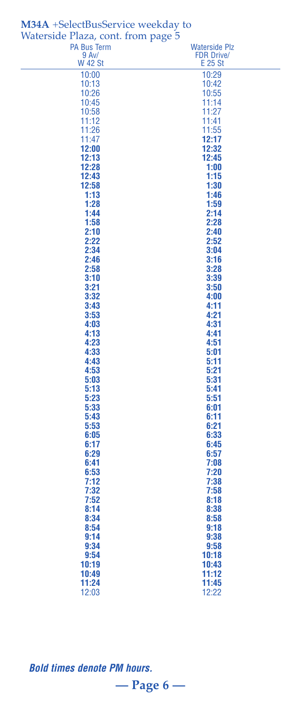| <b>PA Bus Term</b><br><b>Waterside Plz</b><br>9 Av/<br><b>FDR Drive/</b><br><b>W 42 St</b><br>E 25 St<br>10:00<br>10:29<br>10:13<br>10:42<br>10:55<br>10:26<br>10:45<br>11:14<br>10:58<br>11:27<br>11:12<br>11:41<br>11:26<br>11:55<br>12:17<br>11:47<br>12:00<br>12:32<br>12:13<br>12:45<br>12:28<br>1:00<br>12:43<br>1:15<br>12:58<br>1:30<br>1:13<br>1:46<br>1:28<br>1:59<br>1:44<br>2:14<br>1:58<br>2:28<br>2:10<br>2:40<br>2:22<br>2:52<br>2:34<br>3:04<br>2:46<br>3:16<br>2:58<br>3:28<br>3:10<br>3:39<br>3:21<br>3:50<br>3:32<br>4:00<br>3:43<br>4:11<br>3:53<br>4:21<br>4:03<br>4:31<br>4:13<br>4:41<br>4:23<br>4:51<br>4:33<br>5:01<br>4:43<br>5:11<br>4:53<br>5:21<br>5:03<br>5:31<br>5:13<br>5:41<br>5:23<br>5:51<br>5:33<br>6:01<br>5:43<br>6:11<br>5:53<br>6:21<br>6:05<br>6:33<br>6:17<br>6:45<br>6:29<br>6:57<br>7:08<br>6:41<br>6:53<br>7:20<br>7:12<br>7:38<br>7:32<br>7:58<br>7:52<br>8:18<br>8:14<br>8:38<br>8:34<br>8:58<br>8:54<br>9:18<br>9:38<br>9:14<br>9:34<br>9:58<br>10:18<br>9:54<br>10:19<br>10:43<br>10:49<br>11:12<br>11:24<br>11:45<br>12:03 | $\sim$<br>$\cdots$ contracts<br>Waterside Plaza, cont. from page 5 |       |
|------------------------------------------------------------------------------------------------------------------------------------------------------------------------------------------------------------------------------------------------------------------------------------------------------------------------------------------------------------------------------------------------------------------------------------------------------------------------------------------------------------------------------------------------------------------------------------------------------------------------------------------------------------------------------------------------------------------------------------------------------------------------------------------------------------------------------------------------------------------------------------------------------------------------------------------------------------------------------------------------------------------------------------------------------------------------------|--------------------------------------------------------------------|-------|
|                                                                                                                                                                                                                                                                                                                                                                                                                                                                                                                                                                                                                                                                                                                                                                                                                                                                                                                                                                                                                                                                              |                                                                    |       |
|                                                                                                                                                                                                                                                                                                                                                                                                                                                                                                                                                                                                                                                                                                                                                                                                                                                                                                                                                                                                                                                                              |                                                                    |       |
|                                                                                                                                                                                                                                                                                                                                                                                                                                                                                                                                                                                                                                                                                                                                                                                                                                                                                                                                                                                                                                                                              |                                                                    |       |
|                                                                                                                                                                                                                                                                                                                                                                                                                                                                                                                                                                                                                                                                                                                                                                                                                                                                                                                                                                                                                                                                              |                                                                    |       |
|                                                                                                                                                                                                                                                                                                                                                                                                                                                                                                                                                                                                                                                                                                                                                                                                                                                                                                                                                                                                                                                                              |                                                                    |       |
|                                                                                                                                                                                                                                                                                                                                                                                                                                                                                                                                                                                                                                                                                                                                                                                                                                                                                                                                                                                                                                                                              |                                                                    |       |
|                                                                                                                                                                                                                                                                                                                                                                                                                                                                                                                                                                                                                                                                                                                                                                                                                                                                                                                                                                                                                                                                              |                                                                    |       |
|                                                                                                                                                                                                                                                                                                                                                                                                                                                                                                                                                                                                                                                                                                                                                                                                                                                                                                                                                                                                                                                                              |                                                                    |       |
|                                                                                                                                                                                                                                                                                                                                                                                                                                                                                                                                                                                                                                                                                                                                                                                                                                                                                                                                                                                                                                                                              |                                                                    |       |
|                                                                                                                                                                                                                                                                                                                                                                                                                                                                                                                                                                                                                                                                                                                                                                                                                                                                                                                                                                                                                                                                              |                                                                    |       |
|                                                                                                                                                                                                                                                                                                                                                                                                                                                                                                                                                                                                                                                                                                                                                                                                                                                                                                                                                                                                                                                                              |                                                                    |       |
|                                                                                                                                                                                                                                                                                                                                                                                                                                                                                                                                                                                                                                                                                                                                                                                                                                                                                                                                                                                                                                                                              |                                                                    |       |
|                                                                                                                                                                                                                                                                                                                                                                                                                                                                                                                                                                                                                                                                                                                                                                                                                                                                                                                                                                                                                                                                              |                                                                    |       |
|                                                                                                                                                                                                                                                                                                                                                                                                                                                                                                                                                                                                                                                                                                                                                                                                                                                                                                                                                                                                                                                                              |                                                                    |       |
|                                                                                                                                                                                                                                                                                                                                                                                                                                                                                                                                                                                                                                                                                                                                                                                                                                                                                                                                                                                                                                                                              |                                                                    |       |
|                                                                                                                                                                                                                                                                                                                                                                                                                                                                                                                                                                                                                                                                                                                                                                                                                                                                                                                                                                                                                                                                              |                                                                    |       |
|                                                                                                                                                                                                                                                                                                                                                                                                                                                                                                                                                                                                                                                                                                                                                                                                                                                                                                                                                                                                                                                                              |                                                                    |       |
|                                                                                                                                                                                                                                                                                                                                                                                                                                                                                                                                                                                                                                                                                                                                                                                                                                                                                                                                                                                                                                                                              |                                                                    |       |
|                                                                                                                                                                                                                                                                                                                                                                                                                                                                                                                                                                                                                                                                                                                                                                                                                                                                                                                                                                                                                                                                              |                                                                    |       |
|                                                                                                                                                                                                                                                                                                                                                                                                                                                                                                                                                                                                                                                                                                                                                                                                                                                                                                                                                                                                                                                                              |                                                                    |       |
|                                                                                                                                                                                                                                                                                                                                                                                                                                                                                                                                                                                                                                                                                                                                                                                                                                                                                                                                                                                                                                                                              |                                                                    |       |
|                                                                                                                                                                                                                                                                                                                                                                                                                                                                                                                                                                                                                                                                                                                                                                                                                                                                                                                                                                                                                                                                              |                                                                    |       |
|                                                                                                                                                                                                                                                                                                                                                                                                                                                                                                                                                                                                                                                                                                                                                                                                                                                                                                                                                                                                                                                                              |                                                                    |       |
|                                                                                                                                                                                                                                                                                                                                                                                                                                                                                                                                                                                                                                                                                                                                                                                                                                                                                                                                                                                                                                                                              |                                                                    |       |
|                                                                                                                                                                                                                                                                                                                                                                                                                                                                                                                                                                                                                                                                                                                                                                                                                                                                                                                                                                                                                                                                              |                                                                    |       |
|                                                                                                                                                                                                                                                                                                                                                                                                                                                                                                                                                                                                                                                                                                                                                                                                                                                                                                                                                                                                                                                                              |                                                                    |       |
|                                                                                                                                                                                                                                                                                                                                                                                                                                                                                                                                                                                                                                                                                                                                                                                                                                                                                                                                                                                                                                                                              |                                                                    |       |
|                                                                                                                                                                                                                                                                                                                                                                                                                                                                                                                                                                                                                                                                                                                                                                                                                                                                                                                                                                                                                                                                              |                                                                    |       |
|                                                                                                                                                                                                                                                                                                                                                                                                                                                                                                                                                                                                                                                                                                                                                                                                                                                                                                                                                                                                                                                                              |                                                                    |       |
|                                                                                                                                                                                                                                                                                                                                                                                                                                                                                                                                                                                                                                                                                                                                                                                                                                                                                                                                                                                                                                                                              |                                                                    |       |
|                                                                                                                                                                                                                                                                                                                                                                                                                                                                                                                                                                                                                                                                                                                                                                                                                                                                                                                                                                                                                                                                              |                                                                    |       |
|                                                                                                                                                                                                                                                                                                                                                                                                                                                                                                                                                                                                                                                                                                                                                                                                                                                                                                                                                                                                                                                                              |                                                                    |       |
|                                                                                                                                                                                                                                                                                                                                                                                                                                                                                                                                                                                                                                                                                                                                                                                                                                                                                                                                                                                                                                                                              |                                                                    |       |
|                                                                                                                                                                                                                                                                                                                                                                                                                                                                                                                                                                                                                                                                                                                                                                                                                                                                                                                                                                                                                                                                              |                                                                    |       |
|                                                                                                                                                                                                                                                                                                                                                                                                                                                                                                                                                                                                                                                                                                                                                                                                                                                                                                                                                                                                                                                                              |                                                                    |       |
|                                                                                                                                                                                                                                                                                                                                                                                                                                                                                                                                                                                                                                                                                                                                                                                                                                                                                                                                                                                                                                                                              |                                                                    |       |
|                                                                                                                                                                                                                                                                                                                                                                                                                                                                                                                                                                                                                                                                                                                                                                                                                                                                                                                                                                                                                                                                              |                                                                    |       |
|                                                                                                                                                                                                                                                                                                                                                                                                                                                                                                                                                                                                                                                                                                                                                                                                                                                                                                                                                                                                                                                                              |                                                                    |       |
|                                                                                                                                                                                                                                                                                                                                                                                                                                                                                                                                                                                                                                                                                                                                                                                                                                                                                                                                                                                                                                                                              |                                                                    |       |
|                                                                                                                                                                                                                                                                                                                                                                                                                                                                                                                                                                                                                                                                                                                                                                                                                                                                                                                                                                                                                                                                              |                                                                    |       |
|                                                                                                                                                                                                                                                                                                                                                                                                                                                                                                                                                                                                                                                                                                                                                                                                                                                                                                                                                                                                                                                                              |                                                                    |       |
|                                                                                                                                                                                                                                                                                                                                                                                                                                                                                                                                                                                                                                                                                                                                                                                                                                                                                                                                                                                                                                                                              |                                                                    |       |
|                                                                                                                                                                                                                                                                                                                                                                                                                                                                                                                                                                                                                                                                                                                                                                                                                                                                                                                                                                                                                                                                              |                                                                    |       |
|                                                                                                                                                                                                                                                                                                                                                                                                                                                                                                                                                                                                                                                                                                                                                                                                                                                                                                                                                                                                                                                                              |                                                                    |       |
|                                                                                                                                                                                                                                                                                                                                                                                                                                                                                                                                                                                                                                                                                                                                                                                                                                                                                                                                                                                                                                                                              |                                                                    |       |
|                                                                                                                                                                                                                                                                                                                                                                                                                                                                                                                                                                                                                                                                                                                                                                                                                                                                                                                                                                                                                                                                              |                                                                    |       |
|                                                                                                                                                                                                                                                                                                                                                                                                                                                                                                                                                                                                                                                                                                                                                                                                                                                                                                                                                                                                                                                                              |                                                                    |       |
|                                                                                                                                                                                                                                                                                                                                                                                                                                                                                                                                                                                                                                                                                                                                                                                                                                                                                                                                                                                                                                                                              |                                                                    |       |
|                                                                                                                                                                                                                                                                                                                                                                                                                                                                                                                                                                                                                                                                                                                                                                                                                                                                                                                                                                                                                                                                              |                                                                    |       |
|                                                                                                                                                                                                                                                                                                                                                                                                                                                                                                                                                                                                                                                                                                                                                                                                                                                                                                                                                                                                                                                                              |                                                                    |       |
|                                                                                                                                                                                                                                                                                                                                                                                                                                                                                                                                                                                                                                                                                                                                                                                                                                                                                                                                                                                                                                                                              |                                                                    | 12:22 |

# **M34A** +SelectBusService weekday to

*Bold times denote PM hours.*

**— Page 6 —**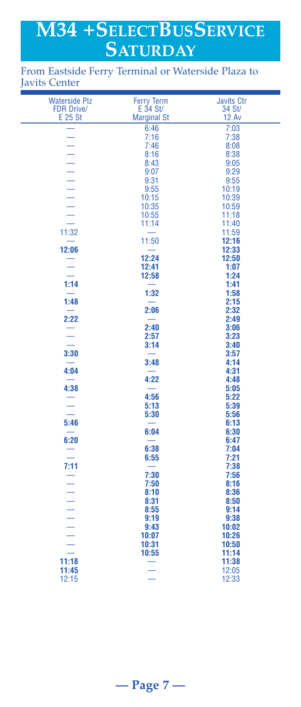# **M34 +SELECTBUSSERVICE SATURDAY**

### From Eastside Ferry Terminal or Waterside Plaza to Javits Center

| <b>FDR Drive/</b><br>E 34 St/<br>34 St/<br>E 25 St<br><b>Marginal St</b><br><b>12 Av</b><br>6:46<br>7:03<br>7:16<br>7:38<br>$\overline{a}$<br>7:46<br>8:08<br>8:16<br>8:38<br>8:43<br>9:05<br>9:07<br>9:29<br>9:31<br>9:55<br>9:55<br>10:19<br>10:39<br>10:15<br>10:35<br>10:59<br>10:55<br>11:18<br>11:40<br>11:14<br>11:32<br>11:59<br>11:50<br>12:16<br>12:06<br>12:33<br>12:24<br>12:50<br>12:41<br>1:07<br>1:24<br>12:58<br>1:14<br>1:41<br>1:32<br>1:58<br>1:48<br>2:15<br>2:06<br>2:32<br>2:22<br>2:49<br>2:40<br>3:06<br>2:57<br>3:23<br>Ξ<br>3:14<br>3:40<br>3:30<br>3:57<br>3:48<br>4:14<br>4:04<br>4:31<br>4:22<br>4:48<br>4:38<br>5:05<br>4:56<br>5:22<br>$\frac{1}{1}$<br>5:13<br>5:39<br>5:30<br>5:56<br>5:46<br>6:13<br>$\overline{\phantom{0}}$<br>6:04<br>6:30<br>6:20<br>6:47<br>6:38<br>7:04<br>$\equiv$<br>6:55<br>7:21<br>7:11<br>7:38<br>$\frac{1}{1}$<br>7:30<br>7:56<br>7:50<br>8:16 | <b>Waterside Plz</b> | <b>Ferry Term</b> | <b>Javits Ctr</b> |
|--------------------------------------------------------------------------------------------------------------------------------------------------------------------------------------------------------------------------------------------------------------------------------------------------------------------------------------------------------------------------------------------------------------------------------------------------------------------------------------------------------------------------------------------------------------------------------------------------------------------------------------------------------------------------------------------------------------------------------------------------------------------------------------------------------------------------------------------------------------------------------------------------------------|----------------------|-------------------|-------------------|
|                                                                                                                                                                                                                                                                                                                                                                                                                                                                                                                                                                                                                                                                                                                                                                                                                                                                                                              |                      |                   |                   |
|                                                                                                                                                                                                                                                                                                                                                                                                                                                                                                                                                                                                                                                                                                                                                                                                                                                                                                              |                      |                   |                   |
|                                                                                                                                                                                                                                                                                                                                                                                                                                                                                                                                                                                                                                                                                                                                                                                                                                                                                                              |                      |                   |                   |
|                                                                                                                                                                                                                                                                                                                                                                                                                                                                                                                                                                                                                                                                                                                                                                                                                                                                                                              |                      |                   |                   |
|                                                                                                                                                                                                                                                                                                                                                                                                                                                                                                                                                                                                                                                                                                                                                                                                                                                                                                              |                      |                   |                   |
|                                                                                                                                                                                                                                                                                                                                                                                                                                                                                                                                                                                                                                                                                                                                                                                                                                                                                                              |                      |                   |                   |
|                                                                                                                                                                                                                                                                                                                                                                                                                                                                                                                                                                                                                                                                                                                                                                                                                                                                                                              |                      |                   |                   |
|                                                                                                                                                                                                                                                                                                                                                                                                                                                                                                                                                                                                                                                                                                                                                                                                                                                                                                              |                      |                   |                   |
|                                                                                                                                                                                                                                                                                                                                                                                                                                                                                                                                                                                                                                                                                                                                                                                                                                                                                                              |                      |                   |                   |
|                                                                                                                                                                                                                                                                                                                                                                                                                                                                                                                                                                                                                                                                                                                                                                                                                                                                                                              |                      |                   |                   |
|                                                                                                                                                                                                                                                                                                                                                                                                                                                                                                                                                                                                                                                                                                                                                                                                                                                                                                              |                      |                   |                   |
|                                                                                                                                                                                                                                                                                                                                                                                                                                                                                                                                                                                                                                                                                                                                                                                                                                                                                                              |                      |                   |                   |
|                                                                                                                                                                                                                                                                                                                                                                                                                                                                                                                                                                                                                                                                                                                                                                                                                                                                                                              |                      |                   |                   |
|                                                                                                                                                                                                                                                                                                                                                                                                                                                                                                                                                                                                                                                                                                                                                                                                                                                                                                              |                      |                   |                   |
|                                                                                                                                                                                                                                                                                                                                                                                                                                                                                                                                                                                                                                                                                                                                                                                                                                                                                                              |                      |                   |                   |
|                                                                                                                                                                                                                                                                                                                                                                                                                                                                                                                                                                                                                                                                                                                                                                                                                                                                                                              |                      |                   |                   |
|                                                                                                                                                                                                                                                                                                                                                                                                                                                                                                                                                                                                                                                                                                                                                                                                                                                                                                              |                      |                   |                   |
|                                                                                                                                                                                                                                                                                                                                                                                                                                                                                                                                                                                                                                                                                                                                                                                                                                                                                                              |                      |                   |                   |
|                                                                                                                                                                                                                                                                                                                                                                                                                                                                                                                                                                                                                                                                                                                                                                                                                                                                                                              |                      |                   |                   |
|                                                                                                                                                                                                                                                                                                                                                                                                                                                                                                                                                                                                                                                                                                                                                                                                                                                                                                              |                      |                   |                   |
|                                                                                                                                                                                                                                                                                                                                                                                                                                                                                                                                                                                                                                                                                                                                                                                                                                                                                                              |                      |                   |                   |
|                                                                                                                                                                                                                                                                                                                                                                                                                                                                                                                                                                                                                                                                                                                                                                                                                                                                                                              |                      |                   |                   |
|                                                                                                                                                                                                                                                                                                                                                                                                                                                                                                                                                                                                                                                                                                                                                                                                                                                                                                              |                      |                   |                   |
|                                                                                                                                                                                                                                                                                                                                                                                                                                                                                                                                                                                                                                                                                                                                                                                                                                                                                                              |                      |                   |                   |
|                                                                                                                                                                                                                                                                                                                                                                                                                                                                                                                                                                                                                                                                                                                                                                                                                                                                                                              |                      |                   |                   |
|                                                                                                                                                                                                                                                                                                                                                                                                                                                                                                                                                                                                                                                                                                                                                                                                                                                                                                              |                      |                   |                   |
|                                                                                                                                                                                                                                                                                                                                                                                                                                                                                                                                                                                                                                                                                                                                                                                                                                                                                                              |                      |                   |                   |
|                                                                                                                                                                                                                                                                                                                                                                                                                                                                                                                                                                                                                                                                                                                                                                                                                                                                                                              |                      |                   |                   |
|                                                                                                                                                                                                                                                                                                                                                                                                                                                                                                                                                                                                                                                                                                                                                                                                                                                                                                              |                      |                   |                   |
|                                                                                                                                                                                                                                                                                                                                                                                                                                                                                                                                                                                                                                                                                                                                                                                                                                                                                                              |                      |                   |                   |
|                                                                                                                                                                                                                                                                                                                                                                                                                                                                                                                                                                                                                                                                                                                                                                                                                                                                                                              |                      |                   |                   |
|                                                                                                                                                                                                                                                                                                                                                                                                                                                                                                                                                                                                                                                                                                                                                                                                                                                                                                              |                      |                   |                   |
|                                                                                                                                                                                                                                                                                                                                                                                                                                                                                                                                                                                                                                                                                                                                                                                                                                                                                                              |                      |                   |                   |
|                                                                                                                                                                                                                                                                                                                                                                                                                                                                                                                                                                                                                                                                                                                                                                                                                                                                                                              |                      |                   |                   |
|                                                                                                                                                                                                                                                                                                                                                                                                                                                                                                                                                                                                                                                                                                                                                                                                                                                                                                              |                      |                   |                   |
|                                                                                                                                                                                                                                                                                                                                                                                                                                                                                                                                                                                                                                                                                                                                                                                                                                                                                                              |                      |                   |                   |
|                                                                                                                                                                                                                                                                                                                                                                                                                                                                                                                                                                                                                                                                                                                                                                                                                                                                                                              |                      |                   |                   |
|                                                                                                                                                                                                                                                                                                                                                                                                                                                                                                                                                                                                                                                                                                                                                                                                                                                                                                              |                      |                   | 8:36              |
| 8:10<br>8:31<br>8:50                                                                                                                                                                                                                                                                                                                                                                                                                                                                                                                                                                                                                                                                                                                                                                                                                                                                                         |                      |                   |                   |
| 9:14<br>8:55                                                                                                                                                                                                                                                                                                                                                                                                                                                                                                                                                                                                                                                                                                                                                                                                                                                                                                 |                      |                   |                   |
| 9:19<br>9:38                                                                                                                                                                                                                                                                                                                                                                                                                                                                                                                                                                                                                                                                                                                                                                                                                                                                                                 |                      |                   |                   |
| 9:43<br>10:02                                                                                                                                                                                                                                                                                                                                                                                                                                                                                                                                                                                                                                                                                                                                                                                                                                                                                                |                      |                   |                   |
| 10:07<br>10:26                                                                                                                                                                                                                                                                                                                                                                                                                                                                                                                                                                                                                                                                                                                                                                                                                                                                                               |                      |                   |                   |
| 10:50<br>10:31                                                                                                                                                                                                                                                                                                                                                                                                                                                                                                                                                                                                                                                                                                                                                                                                                                                                                               |                      |                   |                   |
| 10:55<br>11:14<br>11:18<br>11:38                                                                                                                                                                                                                                                                                                                                                                                                                                                                                                                                                                                                                                                                                                                                                                                                                                                                             |                      |                   |                   |
| 11:45<br>12:05                                                                                                                                                                                                                                                                                                                                                                                                                                                                                                                                                                                                                                                                                                                                                                                                                                                                                               |                      |                   |                   |
| 12:15<br>12:33                                                                                                                                                                                                                                                                                                                                                                                                                                                                                                                                                                                                                                                                                                                                                                                                                                                                                               |                      |                   |                   |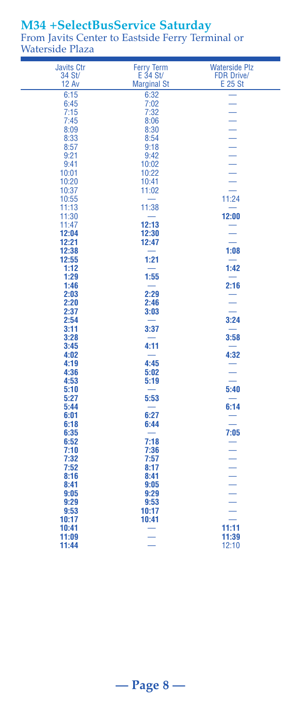# **M34 +SelectBusService Saturday**

From Javits Center to Eastside Ferry Terminal or Waterside Plaza

| <b>Javits Ctr</b> | <b>Ferry Term</b>        | <b>Waterside Plz</b>     |
|-------------------|--------------------------|--------------------------|
| 34 St/            | $E$ 34 St/               | <b>FDR Drive/</b>        |
| <b>12 Av</b>      | <b>Marginal St</b>       | E 25 St                  |
| 6:15              | 6:32                     |                          |
| 6:45              | 7:02                     | $\equiv$                 |
|                   |                          |                          |
| 7:15              | 7:32                     |                          |
| 7:45              | 8:06                     |                          |
| 8:09              | 8:30                     |                          |
| 8:33              | 8:54                     |                          |
| 8:57              | 9:18                     |                          |
| 9:21              | 9:42                     |                          |
| 9:41              | 10:02                    |                          |
| 10:01             | 10:22                    |                          |
| 10:20             | 10:41                    |                          |
| 10:37             | 11:02                    |                          |
| 10:55             |                          | 11:24                    |
| 11:13             | 11:38                    | $\overline{\phantom{0}}$ |
| 11:30             |                          | 12:00                    |
| 11:47             | 12:13                    |                          |
| 12:04             | 12:30                    |                          |
| 12:21             | 12:47                    | $\overline{\phantom{a}}$ |
| 12:38             |                          | 1:08                     |
| 12:55             | 1:21                     |                          |
| 1:12              |                          | 1:42                     |
| 1:29              | 1:55                     |                          |
| 1:46              |                          | 2:16                     |
| 2:03              | 2:29                     |                          |
| 2:20              | 2:46                     | $\equiv$                 |
| 2:37              | 3:03                     |                          |
| 2:54              |                          | 3:24                     |
| 3:11              | 3:37                     |                          |
| 3:28              |                          | 3:58                     |
| 3:45              | 4:11                     |                          |
| 4:02              |                          | 4:32                     |
| 4:19              | 4:45                     |                          |
| 4:36              | 5:02                     |                          |
| 4:53              | 5:19                     |                          |
| 5:10              | $\overline{\phantom{0}}$ | 5:40                     |
| 5:27              | 5:53                     |                          |
| 5:44              |                          | 6:14                     |
| 6:01              | 6:27                     |                          |
| 6:18              | 6:44                     |                          |
| 6:35              |                          | 7:05                     |
|                   | 7:18                     |                          |
| 6:52              |                          | $\equiv$                 |
| 7:10              | 7:36                     |                          |
| 7:32              | 7:57                     |                          |
| 7:52              | 8:17                     |                          |
| 8:16              | 8:41                     |                          |
| 8:41              | 9:05                     |                          |
| 9:05              | 9:29                     |                          |
| 9:29              | 9:53                     |                          |
| 9:53              | 10:17                    |                          |
| 10:17             | 10:41                    |                          |
| 10:41             |                          | 11:11                    |
| 11:09             |                          | 11:39                    |
| 11:44             |                          | 12:10                    |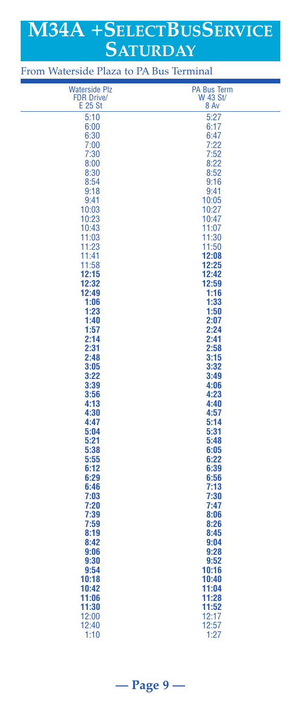# **M34A +SELECTBUSSERVICE SATURDAY**

 Waterside Plz PA Bus Term FDR Drive/ W 43 St/  $E 25 St 8 Av$  5:10 5:27 6:00 6:17 6:30 6:47 7:00 7:22 7:30 7:52 8:00 8:22 8:30 8:52 8:54 9:16 9:18 9:41 9:41 10:05 10:03 10:27 10:23 10:47 10:43 11:07 11:03 11:30 11:23 11:50 11:41 **12:08** 11:58 **12:25 12:15 12:42 12:32 12:59 12:49 1:16 1:06** 1:33 **1:23** 1:50 **1:40** 2:07 **1:57** 2:24 **2:14 2:41 2:31 2:58 2:48** 3:15 **3:05** 3:32 **3:22 3:49 3:39** 4:06  **3:56 4:23 4:13 4:40 4:30 4:57 4:47 5:14 5:04** 5:04 **5:21** 5:48 **5:38** 6:05 **5:55** 6:22 **6:12** 6:39 **6:29** 6:29 **6:56 6:46 7:13 7:03 7:30 7:20 7:47 7:39** 8:06  **7:59 8:26 8:19** 8:45 **8:42** 9:04 **9:06** 9:28 **9:30** 9:30 9:52  **9:54 10:16 10:18 10:40 10:42 11:04 11:06 11:28 11:30 11:52** 12:00 12:17 12:40 12:57 1:10 1:27

From Waterside Plaza to PA Bus Terminal

**— Page 9 —**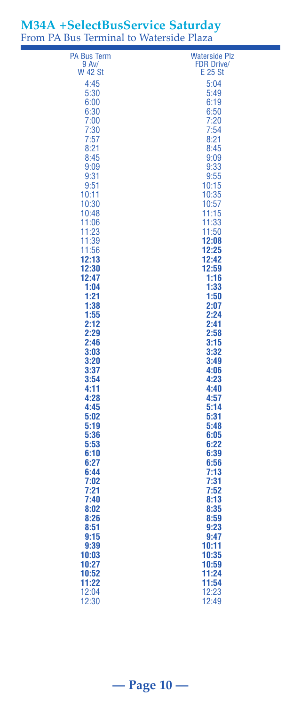| <b>PA Bus Term</b>      | <b>Waterside Plz</b>         |
|-------------------------|------------------------------|
| 9 Av/<br><b>W 42 St</b> | <b>FDR Drive/</b><br>E 25 St |
| 4:45                    | 5:04                         |
| 5:30                    | 5:49                         |
| 6:00                    | 6:19                         |
| 6:30                    | 6:50                         |
| 7:00                    | 7:20                         |
| 7:30                    | 7:54                         |
| 7:57<br>8:21            | 8:21<br>8:45                 |
| 8:45                    | 9:09                         |
| 9:09                    | 9:33                         |
| 9:31                    | 9:55                         |
| 9:51                    | 10:15                        |
| 10:11                   | 10:35                        |
| 10:30<br>10:48          | 10:57<br>11:15               |
| 11:06                   | 11:33                        |
| 11:23                   | 11:50                        |
| 11:39                   | 12:08                        |
| 11:56                   | 12:25                        |
| 12:13                   | 12:42                        |
| 12:30<br>12:47          | 12:59<br>1:16                |
| 1:04                    | 1:33                         |
| 1:21                    | 1:50                         |
| 1:38                    | 2:07                         |
| 1:55                    | 2:24                         |
| 2:12                    | 2:41                         |
| 2:29<br>2:46            | 2:58<br>3:15                 |
| 3:03                    | 3:32                         |
| 3:20                    | 3:49                         |
| 3:37                    | 4:06                         |
| 3:54                    | 4:23                         |
| 4:11                    | 4:40                         |
| 4:28                    | 4:57                         |
| 4:45<br>5:02            | 5:14<br>5:31                 |
| 5:19                    | 5:48                         |
| 5:36                    | 6:05                         |
| 5:53                    | 6:22                         |
| 6:10                    | 6:39                         |
| 6:27                    | 6:56                         |
| 6:44<br>7:02            | 7:13<br>7:31                 |
| 7:21                    | 7:52                         |
| 7:40                    | 8:13                         |
| 8:02                    | 8:35                         |
| 8:26                    | 8:59                         |
| 8:51                    | 9:23                         |
| 9:15<br>9:39            | 9:47<br>10:11                |
| 10:03                   | 10:35                        |
| 10:27                   | 10:59                        |
| 10:52                   | 11:24                        |
| 11:22                   | 11:54                        |
| 12:04                   | 12:23                        |
| 12:30                   | 12:49                        |

### **M34A +SelectBusService Saturday** From PA Bus Terminal to Waterside Plaza

# **— Page 10 —**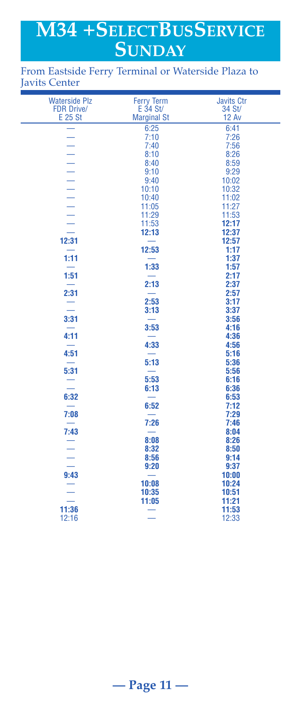# **M34 +SELECTBUSSERVICE SUNDAY**

### From Eastside Ferry Terminal or Waterside Plaza to Javits Center

| <b>Waterside Plz</b>     | <b>Ferry Term</b>        | <b>Javits Ctr</b> |
|--------------------------|--------------------------|-------------------|
| <b>FDR Drive/</b>        | $E$ 34 St/               | 34 St/            |
| E 25 St                  | <b>Marginal St</b>       | <b>12 Av</b>      |
|                          | 6:25                     | 6:41              |
|                          | 7:10                     | 7:26              |
| $\equiv$                 | 7:40                     | 7:56              |
|                          | 8:10                     | 8:26              |
|                          | 8:40                     | 8:59              |
|                          | 9:10                     | 9:29              |
|                          | 9:40                     | 10:02             |
|                          | 10:10                    | 10:32             |
|                          | 10:40                    | 11:02             |
|                          | 11:05                    | 11:27             |
|                          | 11:29                    | 11:53             |
|                          | 11:53                    | 12:17             |
|                          | 12:13                    | 12:37             |
| 12:31                    | $\equiv$                 | 12:57             |
|                          | 12:53                    | 1:17              |
| 1:11                     |                          | 1:37              |
| لمستد                    | 1:33                     | 1:57              |
| 1:51                     |                          | 2:17              |
|                          | 2:13                     | 2:37              |
| 2:31                     | 2:53                     | 2:57<br>3:17      |
|                          | 3:13                     | 3:37              |
| 3:31                     |                          | 3:56              |
|                          | 3:53                     | 4:16              |
| 4:11                     |                          | 4:36              |
|                          | 4:33                     | 4:56              |
| 4:51                     |                          | 5:16              |
|                          | 5:13                     | 5:36              |
| 5:31                     | $\overline{\phantom{0}}$ | 5:56              |
|                          | 5:53                     | 6:16              |
| $\overline{\phantom{0}}$ | 6:13                     | 6:36              |
| 6:32                     | $\equiv$                 | 6:53              |
|                          | 6:52                     | 7:12              |
| 7:08                     | $\equiv$                 | 7:29              |
| $\equiv$                 | 7:26                     | 7:46              |
| 7:43                     |                          | 8:04              |
| Ē                        | 8:08                     | 8:26              |
|                          | 8:32                     | 8:50              |
|                          | 8:56                     | 9:14              |
| $\overline{\phantom{0}}$ | 9:20                     | 9:37              |
| 9:43                     | $\overline{\phantom{0}}$ | 10:00             |
|                          | 10:08                    | 10:24             |
|                          | 10:35                    | 10:51             |
|                          | 11:05                    | 11:21             |
| 11:36                    |                          | 11:53             |
| 12:16                    | $\overline{\phantom{0}}$ | 12:33             |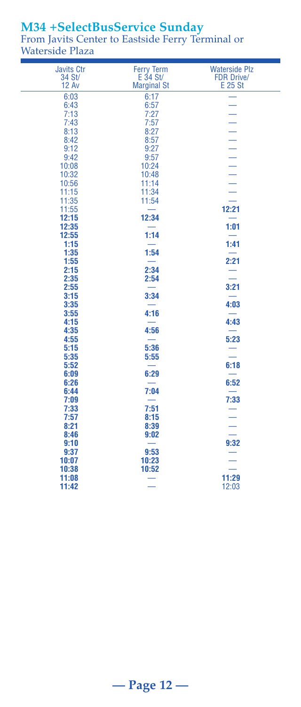# **M34 +SelectBusService Sunday**

From Javits Center to Eastside Ferry Terminal or Waterside Plaza

| <b>Javits Ctr</b> | <b>Ferry Term</b>  | <b>Waterside Plz</b>     |
|-------------------|--------------------|--------------------------|
| 34 St/            | $E$ 34 St/         | <b>FDR Drive/</b>        |
| <b>12 Av</b>      | <b>Marginal St</b> | E 25 St                  |
| 6:03              | 6:17               |                          |
| 6:43              | 6:57               |                          |
| 7:13              | 7:27               |                          |
| 7:43              | 7:57               |                          |
| 8:13              | 8:27               |                          |
| 8:42              | 8:57               |                          |
| 9:12              | 9:27               |                          |
| 9:42              | 9:57               |                          |
| 10:08             | 10:24              |                          |
| 10:32             | 10:48              |                          |
| 10:56             | 11:14              |                          |
| 11:15             | 11:34              |                          |
| 11:35             | 11:54              |                          |
| 11:55             |                    | 12:21                    |
| 12:15             | 12:34              |                          |
| 12:35             |                    | 1:01                     |
| 12:55             | 1:14               |                          |
| 1:15              |                    | 1:41                     |
| 1:35              | 1:54               |                          |
| 1:55              |                    | 2:21                     |
| 2:15              | 2:34               |                          |
| 2:35              | 2:54               |                          |
| 2:55              |                    | 3:21                     |
| 3:15              | 3:34               |                          |
| 3:35              |                    | 4:03                     |
| 3:55              | 4:16               |                          |
| 4:15              |                    | 4:43                     |
| 4:35              | 4:56               |                          |
| 4:55              |                    | 5:23                     |
| 5:15              | 5:36               |                          |
| 5:35              | 5:55               |                          |
| 5:52              | -                  | 6:18                     |
| 6:09              | 6:29               |                          |
| 6:26              |                    | 6:52                     |
| 6:44              | 7:04               |                          |
| 7:09              |                    | 7:33                     |
| 7:33              | 7:51               |                          |
| 7:57              | 8:15               |                          |
| 8:21              | 8:39               | $\overline{\phantom{0}}$ |
| 8:46              | 9:02               |                          |
| 9:10              | $\equiv$           | 9:32                     |
| 9:37              | 9:53               | —                        |
| 10:07             | 10:23              |                          |
| 10:38             | 10:52              |                          |
| 11:08             |                    | 11:29                    |
| 11:42             |                    | 12:03                    |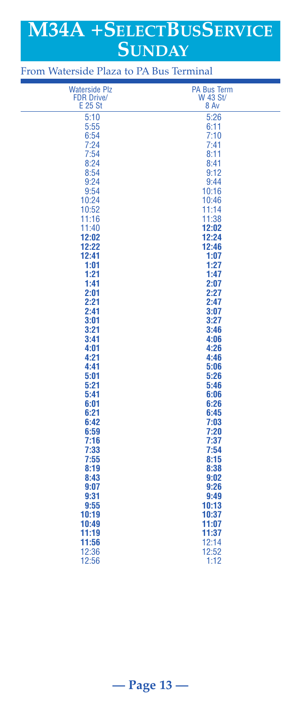# **M34A +SELECTBUSSERVICE SUNDAY**

| <b>Waterside Plz</b> | <b>PA Bus Term</b> |
|----------------------|--------------------|
| <b>FDR Drive/</b>    | W 43 St/           |
| E 25 St              | 8 Av               |
| 5:10                 | 5:26               |
| 5:55                 | 6:11               |
| 6:54                 | 7:10               |
| 7:24                 | 7:41               |
| 7:54                 | 8:11               |
| 8:24                 | 8:41               |
| 8:54                 | 9:12               |
| 9:24                 | 9:44               |
| 9:54                 | 10:16              |
| 10:24                | 10:46              |
| 10:52                | 11:14              |
| 11:16                | 11:38              |
| 11:40                | 12:02              |
| 12:02                | 12:24              |
| 12:22                | 12:46              |
| 12:41                | 1:07               |
| 1:01                 | 1:27               |
| 1:21                 | 1:47               |
| 1:41                 | 2:07               |
| 2:01                 | 2:27               |
| 2:21                 | 2:47               |
| 2:41                 | 3:07               |
| 3:01                 | 3:27               |
| 3:21                 | 3:46               |
| 3:41                 | 4:06               |
| 4:01<br>4:21         | 4:26               |
| 4:41                 | 4:46<br>5:06       |
| 5:01                 | 5:26               |
| 5:21                 | 5:46               |
| 5:41                 | 6:06               |
| 6:01                 | 6:26               |
| 6:21                 | 6:45               |
| 6:42                 | 7:03               |
| 6:59                 | 7:20               |
| 7:16                 | 7:37               |
| 7:33                 | 7:54               |
| 7:55                 | 8:15               |
| 8:19                 | 8:38               |
| 8:43                 | 9:02               |
| 9:07                 | 9:26               |
| 9:31                 | 9:49               |
| 9:55                 | 10:13              |
| 10:19                | 10:37              |
| 10:49                | 11:07              |
| 11:19                | 11:37              |
| 11:56                | 12:14              |
| 12:36                | 12:52              |
| 12:56                | 1:12               |

# From Waterside Plaza to PA Bus Terminal

# **— Page 13 —**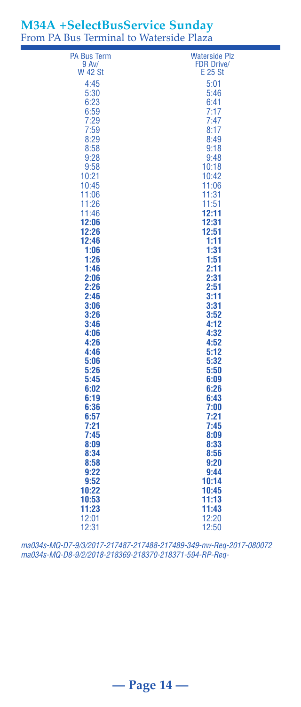| <b>PA Bus Term</b> | <b>Waterside Plz</b> |
|--------------------|----------------------|
| 9 Av/              | <b>FDR Drive/</b>    |
| <b>W 42 St</b>     | E 25 St              |
| 4:45               | 5:01                 |
| 5:30               | 5:46                 |
| 6:23               | 6:41                 |
| 6:59               | 7:17<br>7:47         |
| 7:29<br>7:59       | 8:17                 |
| 8:29               | 8:49                 |
| 8:58               | 9:18                 |
| 9:28               | 9:48                 |
| 9:58               | 10:18                |
| 10:21              | 10:42                |
| 10:45              | 11:06                |
| 11:06              | 11:31                |
| 11:26              | 11:51                |
| 11:46              | 12:11                |
| 12:06              | 12:31                |
| 12:26              | 12:51                |
| 12:46              | 1:11                 |
| 1:06               | 1:31                 |
| 1:26               | 1:51                 |
| 1:46               | 2:11                 |
| 2:06               | 2:31                 |
| 2:26               | 2:51                 |
| 2:46               | 3:11                 |
| 3:06               | 3:31                 |
| 3:26               | 3:52                 |
| 3:46               | 4:12                 |
| 4:06               | 4:32                 |
| 4:26               | 4:52                 |
| 4:46               | 5:12                 |
| 5:06               | 5:32                 |
| 5:26<br>5:45       | 5:50<br>6:09         |
| 6:02               | 6:26                 |
| 6:19               | 6:43                 |
| 6:36               | 7:00                 |
| 6:57               | 7:21                 |
| 7:21               | 7:45                 |
| 7:45               | 8:09                 |
| 8:09               | 8:33                 |
| 8:34               | 8:56                 |
| 8:58               | 9:20                 |
| 9:22               | 9:44                 |
| 9:52               | 10:14                |
| 10:22              | 10:45                |
| 10:53              | 11:13                |
| 11:23              | 11:43                |
| 12:01              | 12:20                |
| 12:31              | 12:50                |

### **M34A +SelectBusService Sunday** From PA Bus Terminal to Waterside Plaza

*ma034s-MQ-D7-9/3/2017-217487-217488-217489-349-nw-Req-2017-080072 ma034s-MQ-D8-9/2/2018-218369-218370-218371-594-RP-Req-*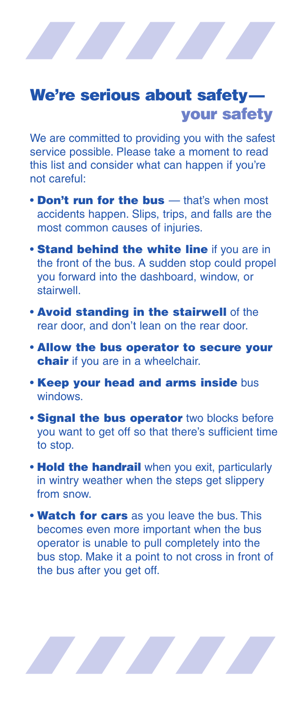# We're serious about safetyyour safety

We are committed to providing you with the safest service possible. Please take a moment to read this list and consider what can happen if you're not careful:

- Don't run for the bus that's when most accidents happen. Slips, trips, and falls are the most common causes of injuries.
- **Stand behind the white line if you are in** the front of the bus. A sudden stop could propel you forward into the dashboard, window, or stairwell.
- Avoid standing in the stairwell of the rear door, and don't lean on the rear door.
- Allow the bus operator to secure your chair if you are in a wheelchair.
- Keep your head and arms inside bus windows.
- **Signal the bus operator** two blocks before you want to get off so that there's sufficient time to stop.
- **Hold the handrail** when you exit, particularly in wintry weather when the steps get slippery from snow.
- Watch for cars as you leave the bus. This becomes even more important when the bus operator is unable to pull completely into the bus stop. Make it a point to not cross in front of the bus after you get off.